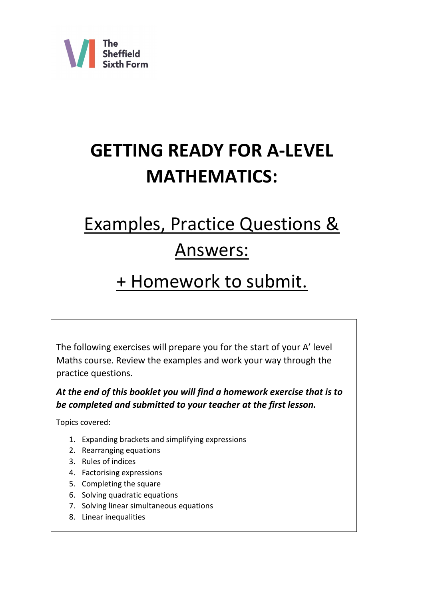

# **GETTING READY FOR A-LEVEL MATHEMATICS:**

# Examples, Practice Questions & Answers:

# + Homework to submit.

The following exercises will prepare you for the start of your A' level Maths course. Review the examples and work your way through the practice questions.

*At the end of this booklet you will find a homework exercise that is to be completed and submitted to your teacher at the first lesson.* 

Topics covered:

- 1. Expanding brackets and simplifying expressions
- 2. Rearranging equations
- 3. Rules of indices
- 4. Factorising expressions
- 5. Completing the square
- 6. Solving quadratic equations
- 7. Solving linear simultaneous equations
- 8. Linear inequalities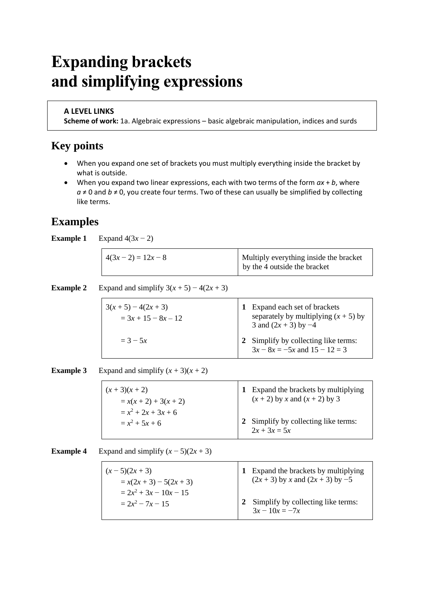# **Expanding brackets and simplifying expressions**

#### **A LEVEL LINKS**

**Scheme of work:** 1a. Algebraic expressions – basic algebraic manipulation, indices and surds

### **Key points**

- When you expand one set of brackets you must multiply everything inside the bracket by what is outside.
- When you expand two linear expressions, each with two terms of the form *ax* + *b*, where  $a \neq 0$  and  $b \neq 0$ , you create four terms. Two of these can usually be simplified by collecting like terms.

### **Examples**

**Example 1** Expand  $4(3x - 2)$ 

| $4(3x-2) = 12x-8$ | Multiply everything inside the bracket<br>by the 4 outside the bracket |
|-------------------|------------------------------------------------------------------------|
|-------------------|------------------------------------------------------------------------|

**Example 2** Expand and simplify  $3(x + 5) - 4(2x + 3)$ 

| $3(x+5)-4(2x+3)$<br>$=$ 3x + 15 – 8x – 12 | 1 Expand each set of brackets<br>separately by multiplying $(x + 5)$ by<br>3 and $(2x + 3)$ by $-4$ |
|-------------------------------------------|-----------------------------------------------------------------------------------------------------|
| $= 3 - 5x$                                | 2 Simplify by collecting like terms:<br>$3x - 8x = -5x$ and $15 - 12 = 3$                           |

**Example 3** Expand and simplify  $(x + 3)(x + 2)$ 

| $(x+3)(x+2)$<br>$= x(x + 2) + 3(x + 2)$ | 1 Expand the brackets by multiplying<br>$(x + 2)$ by x and $(x + 2)$ by 3 |
|-----------------------------------------|---------------------------------------------------------------------------|
| $= x^2 + 2x + 3x + 6$                   |                                                                           |
| $= x^2 + 5x + 6$                        | 2 Simplify by collecting like terms:<br>$2x + 3x = 5x$                    |

**Example 4** Expand and simplify  $(x - 5)(2x + 3)$ 

| $(x-5)(2x+3)$             | 1 Expand the brackets by multiplying   |
|---------------------------|----------------------------------------|
| $= x(2x + 3) - 5(2x + 3)$ | $(2x + 3)$ by x and $(2x + 3)$ by $-5$ |
| $= 2x^2 + 3x - 10x - 15$  | 2 Simplify by collecting like terms:   |
| $= 2x^2 - 7x - 15$        | $3x - 10x = -7x$                       |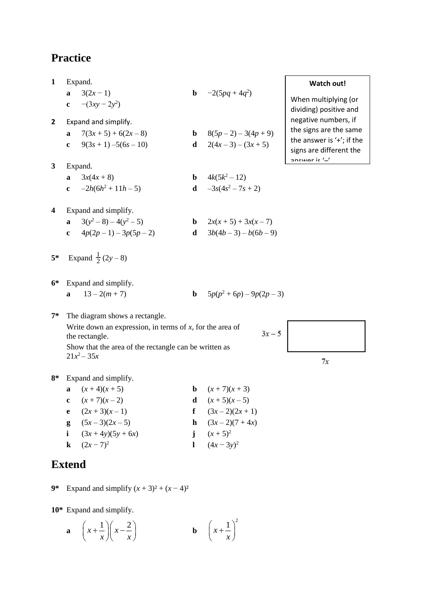| $\mathbf{1}$  | Expand.                    |                                                                               |              | <b>Watch out!</b>             |                                                                         |
|---------------|----------------------------|-------------------------------------------------------------------------------|--------------|-------------------------------|-------------------------------------------------------------------------|
|               | a<br>$\mathbf{c}$          | $3(2x-1)$<br>$-(3xy - 2y^2)$                                                  | $\mathbf b$  | $-2(5pq+4q^2)$                | When multiplying (or                                                    |
|               |                            |                                                                               |              |                               | dividing) positive and                                                  |
| $\mathbf{2}$  |                            | Expand and simplify.                                                          |              |                               | negative numbers, if                                                    |
|               | a                          | $7(3x+5) + 6(2x-8)$                                                           | $\mathbf b$  | $8(5p-2)-3(4p+9)$             | the signs are the same                                                  |
|               | $\mathbf c$                | $9(3s + 1) - 5(6s - 10)$                                                      |              | <b>d</b> $2(4x-3)-(3x+5)$     | the answer is $'+$ ; if the<br>signs are different the<br>ancwar is '_' |
| $\mathbf{3}$  |                            | Expand.                                                                       |              |                               |                                                                         |
|               | a                          | $3x(4x+8)$                                                                    |              | <b>b</b> $4k(5k^2 - 12)$      |                                                                         |
|               | $\mathbf{c}$               | $-2h(6h^2+11h-5)$                                                             |              | <b>d</b> $-3s(4s^2 - 7s + 2)$ |                                                                         |
| 4             |                            | Expand and simplify.                                                          |              |                               |                                                                         |
|               |                            | a $3(y^2-8)-4(y^2-5)$                                                         |              | <b>b</b> $2x(x+5) + 3x(x-7)$  |                                                                         |
|               | $\mathbf{c}$               | $4p(2p-1)-3p(5p-2)$                                                           | $\mathbf d$  | $3b(4b-3)-b(6b-9)$            |                                                                         |
| $5*$          | Expand $\frac{1}{2}(2y-8)$ |                                                                               |              |                               |                                                                         |
| $6*$          |                            | Expand and simplify.                                                          |              |                               |                                                                         |
|               | a                          | $13-2(m+7)$                                                                   | $\mathbf b$  | $5p(p^2+6p)-9p(2p-3)$         |                                                                         |
| $7^*$         |                            | The diagram shows a rectangle.                                                |              |                               |                                                                         |
|               |                            | Write down an expression, in terms of $x$ , for the area of<br>the rectangle. |              | $3x - 5$                      |                                                                         |
|               |                            | Show that the area of the rectangle can be written as                         |              |                               |                                                                         |
|               |                            | $21x^2 - 35x$                                                                 |              |                               | 7χ                                                                      |
| $8*$          |                            | Expand and simplify.                                                          |              |                               |                                                                         |
|               | a                          | $(x+4)(x+5)$                                                                  | $\mathbf b$  | $(x+7)(x+3)$                  |                                                                         |
|               | $\mathbf c$                | $(x+7)(x-2)$                                                                  | d            | $(x+5)(x-5)$                  |                                                                         |
|               | $\mathbf e$                | $(2x+3)(x-1)$                                                                 | $\mathbf f$  | $(3x-2)(2x+1)$                |                                                                         |
|               | g                          | $(5x-3)(2x-5)$                                                                | $\mathbf{h}$ | $(3x-2)(7+4x)$                |                                                                         |
|               | $\mathbf{i}$               | $(3x+4y)(5y+6x)$                                                              |              | j $(x+5)^2$                   |                                                                         |
|               | $\bf k$                    | $(2x-7)^2$                                                                    | $\mathbf{I}$ | $(4x-3y)^2$                   |                                                                         |
| <b>Extend</b> |                            |                                                                               |              |                               |                                                                         |
| $9*$          |                            | Expand and simplify $(x + 3)^2 + (x - 4)^2$                                   |              |                               |                                                                         |
|               |                            |                                                                               |              |                               |                                                                         |

**10\*** Expand and simplify.

$$
\mathbf{a} \quad \left(x + \frac{1}{x}\right)\left(x - \frac{2}{x}\right) \qquad \qquad \mathbf{b} \quad \left(x + \frac{1}{x}\right)^2
$$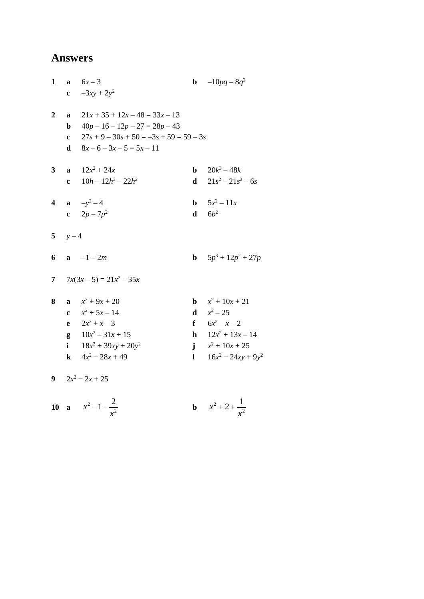| 1                       |              | <b>a</b> $6x-3$                           |              | <b>b</b> $-10pq - 8q^2$       |
|-------------------------|--------------|-------------------------------------------|--------------|-------------------------------|
|                         |              | <b>c</b> $-3xy + 2y^2$                    |              |                               |
|                         |              |                                           |              |                               |
| $\overline{2}$          | a            | $21x + 35 + 12x - 48 = 33x - 13$          |              |                               |
|                         | $\mathbf b$  | $40p - 16 - 12p - 27 = 28p - 43$          |              |                               |
|                         | $\mathbf{c}$ | $27s + 9 - 30s + 50 = -3s + 59 = 59 - 3s$ |              |                               |
|                         | d            | $8x-6-3x-5=5x-11$                         |              |                               |
|                         |              |                                           |              |                               |
| 3                       |              | <b>a</b> $12x^2 + 24x$                    |              | <b>b</b> $20k^3 - 48k$        |
|                         |              | c $10h - 12h^3 - 22h^2$                   |              | d $21s^2 - 21s^3 - 6s$        |
|                         |              |                                           |              |                               |
| $\overline{\mathbf{4}}$ |              | <b>a</b> $-y^2-4$                         |              | <b>b</b> $5x^2 - 11x$         |
|                         |              | c $2p - 7p^2$                             |              | $\mathbf{d}$ $6b^2$           |
|                         |              |                                           |              |                               |
|                         | 5 $y-4$      |                                           |              |                               |
|                         |              |                                           |              |                               |
| 6                       |              | $a -1 - 2m$                               |              | <b>b</b> $5p^3 + 12p^2 + 27p$ |
|                         |              |                                           |              |                               |
|                         |              | 7 $7x(3x-5) = 21x^2 - 35x$                |              |                               |
|                         |              |                                           |              |                               |
| 8                       |              | $x^2 + 9x + 20$                           |              | <b>b</b> $x^2 + 10x + 21$     |
|                         |              | c $x^2 + 5x - 14$                         |              | <b>d</b> $x^2 - 25$           |
|                         |              | <b>e</b> $2x^2 + x - 3$                   |              | f $6x^2 - x - 2$              |
|                         |              | $g = 10x^2 - 31x + 15$                    |              | <b>h</b> $12x^2 + 13x - 14$   |
|                         |              | i $18x^2 + 39xy + 20y^2$                  |              | $x^2 + 10x + 25$              |
|                         |              | <b>k</b> $4x^2 - 28x + 49$                | $\mathbf{L}$ | $16x^2 - 24xy + 9y^2$         |
|                         |              |                                           |              |                               |

$$
9 \t 2x^2 - 2x + 25
$$

**10 a** 
$$
x^2 - 1 - \frac{2}{x^2}
$$
 **b**  $x^2 + 2 + \frac{1}{x^2}$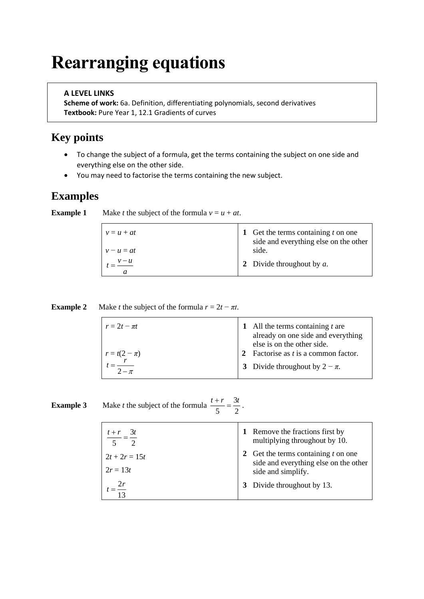# **Rearranging equations**

### **A LEVEL LINKS**

**Scheme of work:** 6a. Definition, differentiating polynomials, second derivatives **Textbook:** Pure Year 1, 12.1 Gradients of curves

# **Key points**

- To change the subject of a formula, get the terms containing the subject on one side and everything else on the other side.
- You may need to factorise the terms containing the new subject.

### **Examples**

| $v = u + at$<br>$v - u = at$ | 1 Get the terms containing $t$ on one<br>side and everything else on the other<br>side. |
|------------------------------|-----------------------------------------------------------------------------------------|
| a                            | 2 Divide throughout by $a$ .                                                            |

| <b>Example 2</b> | Make <i>t</i> the subject of the formula $r = 2t - \pi t$ . |
|------------------|-------------------------------------------------------------|
|------------------|-------------------------------------------------------------|

| $r=2t-\pi t$     | All the terms containing $t$ are<br>already on one side and everything<br>else is on the other side. |
|------------------|------------------------------------------------------------------------------------------------------|
| $r = t(2 - \pi)$ | Factorise as $t$ is a common factor.                                                                 |
| $2-\pi$          | 3 Divide throughout by $2 - \pi$ .                                                                   |

#### **Example 3** Make *t* the subject of the formula  $\frac{t+r}{1-r} = \frac{3}{5}$ 5 2  $\frac{t+r}{t} = \frac{3t}{2}$ .

| $t + r$ 3t                    | 1 Remove the fractions first by<br>multiplying throughout by 10.                                     |
|-------------------------------|------------------------------------------------------------------------------------------------------|
| $2t + 2r = 15t$<br>$2r = 13t$ | 2 Get the terms containing $t$ on one<br>side and everything else on the other<br>side and simplify. |
| 2r                            | 3 Divide throughout by 13.                                                                           |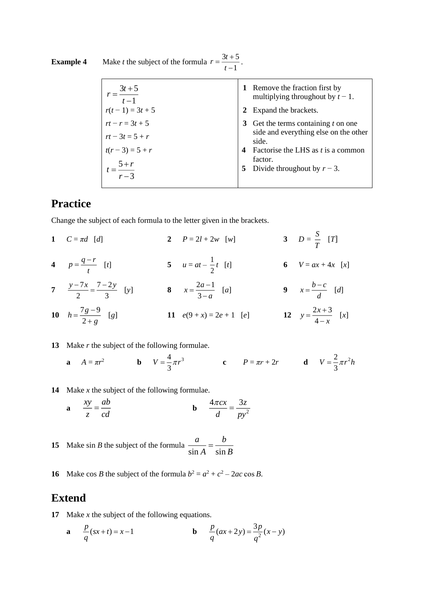| $r = \frac{3t + 5}{t - 1}$ | 1 Remove the fraction first by<br>multiplying throughout by $t-1$ . |
|----------------------------|---------------------------------------------------------------------|
| $r(t-1) = 3t + 5$          | Expand the brackets.                                                |
| $rt - r = 3t + 5$          | Get the terms containing $t$ on one                                 |
| $rt - 3t = 5 + r$          | side and everything else on the other<br>side.                      |
| $t(r-3) = 5 + r$           | Factorise the LHS as $t$ is a common<br>$\boldsymbol{4}$            |
| $=\frac{5+r}{r-3}$         | factor.<br>5 Divide throughout by $r-3$ .                           |
|                            |                                                                     |

**Example 4** Make *t* the subject of the formula  $r = \frac{3t+5}{1}$ 1  $r = \frac{3t}{2}$ *t*  $=\frac{3t+1}{t}$ − .

### **Practice**

Change the subject of each formula to the letter given in the brackets.

**1**  $C = \pi d$  [*d*] **2**  $P = 2l + 2w$  [*w*] *S*  $\frac{5}{T}$  [*T*] **4**  $p = \frac{q-r}{t}$  $=\frac{q-r}{l}$  [*t*] **5**  $u = at - \frac{1}{2}$  $\frac{1}{2}$  **6**  $V = ax + 4x$  [*x*] **7**  $rac{y-7x}{2} = \frac{7-2}{2}$ 2 3  $\frac{y-7x}{2} = \frac{7-2y}{2}$  [y] **8**  $x = \frac{2a-1}{2}$ 3  $x = \frac{2a}{a}$ *a*  $=\frac{2a-1}{3-a}$  [a]  $9 \t x = \frac{b-c}{d}$  $=\frac{b-c}{d}$  [*d*] 10  $h = \frac{7g-9}{2}$ 2  $h = \frac{7g}{2}$ *g*  $=\frac{7g-1}{2}$ +  $[g]$  **11**  $e(9+x)=2e+1$   $[e]$  **12**  $y=\frac{2x+3}{1}$ 4  $y = \frac{2x+3}{4-x}$  $=\frac{2x+3}{4-x}$  [x]

#### **13** Make *r* the subject of the following formulae.

**a** 
$$
A = \pi r^2
$$
 **b**  $V = \frac{4}{3}\pi r^3$  **c**  $P = \pi r + 2r$  **d**  $V = \frac{2}{3}\pi r^2 h$ 

**14** Make *x* the subject of the following formulae.

$$
\mathbf{a} \qquad \frac{xy}{z} = \frac{ab}{cd} \qquad \qquad \mathbf{b} \qquad \frac{4\pi cx}{d} = \frac{3z}{py^2}
$$

**15** Make sin *B* the subject of the formula  $\frac{a}{\sin A} = \frac{b}{\sin A}$ *<sup>a</sup> b*  $\frac{a}{A} = \frac{a}{\sin B}$ 

**16** Make cos *B* the subject of the formula  $b^2 = a^2 + c^2 - 2ac \cos B$ .

### **Extend**

- **17** Make *x* the subject of the following equations.
	- **a**  $\frac{p}{f}(sx+t) = x-1$ *q*  $+ t = x$ **b**  $\frac{P}{q}(ax+2y) = \frac{3P}{2}$  $\frac{p}{2}(ax+2y) = \frac{3p}{2}(x-y)$ *q q*  $+ 2y = -\frac{1}{2}(x -$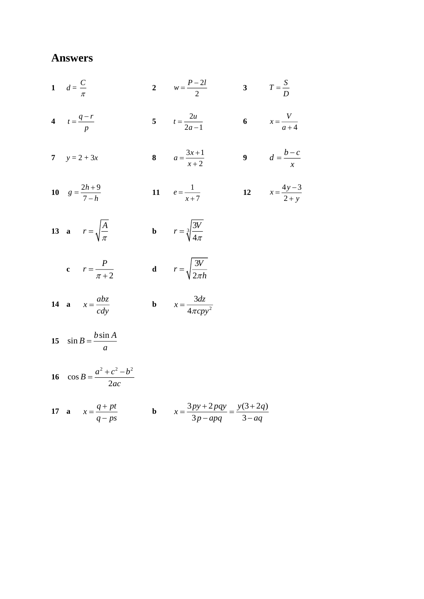$d = \frac{C}{\pi}$  $w = \frac{P-2l}{2}$  3  $T = \frac{S}{D}$  $t = \frac{2u}{2a-1}$  6  $x = \frac{V}{a+4}$  $t = \frac{q-r}{p}$  $a = \frac{3x+1}{x+2}$  9  $d = \frac{b-c}{r}$  $y = 2 + 3x$  $e = \frac{1}{x+7}$  12  $x = \frac{4y-3}{2+y}$  $g = \frac{2h+9}{7-h}$  **a**  $r = \sqrt{\frac{A}{\pi}}$  **b**  $r = \sqrt[3]{\frac{3V}{4\pi}}$ **c**  $r = \frac{P}{\pi + 2}$  **d**  $r = \sqrt{\frac{3V}{2\pi h}}$  **a**  $x = \frac{abz}{cdy}$  **b**  $x = \frac{3dz}{4\pi c y^2}$  $\sin B = \frac{b \sin A}{a}$  $\cos B = \frac{a^2 + c^2 - b^2}{2ac}$ 

17 **a** 
$$
x = \frac{q+pt}{q-ps}
$$
 **b**  $x = \frac{3py+2pqy}{3p-apq} = \frac{y(3+2q)}{3-aq}$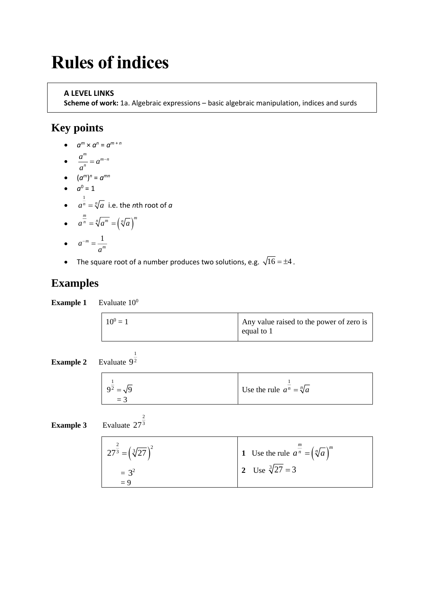# **Rules of indices**

### **A LEVEL LINKS**

**Scheme of work:** 1a. Algebraic expressions – basic algebraic manipulation, indices and surds

## **Key points**

- $a^m \times a^n = a^{m+n}$
- $\frac{a^m}{b} = a^{m-n}$  $\frac{a}{a}$  = a *a*  $= a^{m-1}$
- $(a^m)^n = a^{mn}$
- $a^0 = 1$
- $\bullet$   $\frac{1}{a^n}$  $a^n = \sqrt[n]{a} \;$  i.e. the *n*th root of  $a$

1 92

> 2 273

$$
\bullet \qquad a^{\frac{m}{n}} = \sqrt[n]{a^m} = \left(\sqrt[n]{a}\right)^n
$$

$$
\bullet \qquad a^{-m} = \frac{1}{a^m}
$$

• The square root of a number produces two solutions, e.g.  $\sqrt{16} = \pm 4$ .

## **Examples**

**Example 1** Evaluate  $10^0$ 

| $10^0 = 1$ | Any value raised to the power of zero is<br>equal to $1$ |
|------------|----------------------------------------------------------|
|            |                                                          |

**Example 2** Evaluate

| $9^{\frac{1}{2}} = \sqrt{9}$ | Use the rule $a^n = \sqrt[n]{a}$ |
|------------------------------|----------------------------------|
| $=$ 3                        |                                  |

**Example 3** Evaluate

| $27^{\frac{2}{3}} = (\sqrt[3]{27})^2$ | 1 Use the rule $a^{\frac{m}{n}} = (\sqrt[n]{a})^m$ |
|---------------------------------------|----------------------------------------------------|
| $= 3^2$<br>$= 9$                      | 2 Use $\sqrt[3]{27} = 3$                           |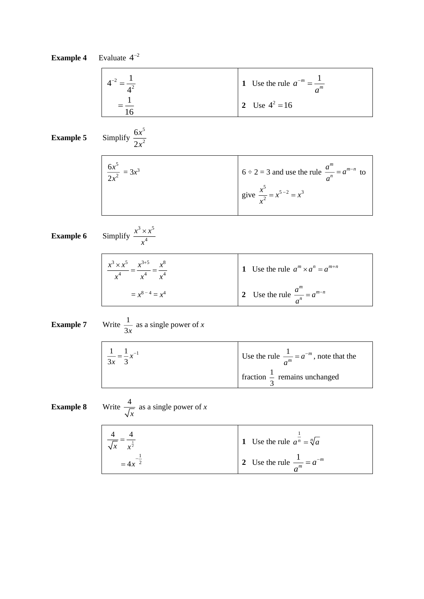|                  | <b>Example 4</b> Evaluate $4^{-2}$                                                        |                                                                                                          |
|------------------|-------------------------------------------------------------------------------------------|----------------------------------------------------------------------------------------------------------|
|                  | $4^{-2} = \frac{1}{4^2}$<br>= $\frac{1}{16}$                                              | 1 Use the rule $a^{-m} = \frac{1}{a^m}$                                                                  |
|                  |                                                                                           | 2 Use $4^2 = 16$                                                                                         |
| <b>Example 5</b> | Simplify $\frac{6x^5}{2x^2}$                                                              |                                                                                                          |
|                  | $\frac{6x^5}{2x^2} = 3x^3$                                                                |                                                                                                          |
|                  |                                                                                           | $6 \div 2 = 3$ and use the rule $\frac{a^m}{a^n} = a^{m-n}$ to<br>give $\frac{x^5}{x^2} = x^{5-2} = x^3$ |
| <b>Example 6</b> | Simplify $\frac{x^3 \times x^5}{x^4}$                                                     |                                                                                                          |
|                  | $\frac{x^3 \times x^5}{x^4} = \frac{x^{3+5}}{x^4} = \frac{x^8}{x^4}$<br>= $x^{8-4} = x^4$ | 1 Use the rule $a^m \times a^n = a^{m+n}$                                                                |
|                  |                                                                                           | 2 Use the rule $\frac{a^m}{a^n} = a^{m-n}$                                                               |
| <b>Example 7</b> | Write $\frac{1}{3x}$ as a single power of x                                               |                                                                                                          |
|                  | $\frac{1}{3x} = \frac{1}{3}x^{-1}$                                                        | Use the rule $\frac{1}{a^m} = a^{-m}$ , note that the                                                    |
|                  |                                                                                           | fraction $\frac{1}{3}$ remains unchanged                                                                 |
| <b>Example 8</b> | Write $\frac{4}{\sqrt{x}}$ as a single power of x                                         |                                                                                                          |
|                  | $rac{4}{\sqrt{x}} = \frac{4}{x^{\frac{1}{2}}}$<br>= 4x <sup>-1</sup>                      | 1 Use the rule $a^{\frac{1}{n}} = \sqrt[n]{a}$                                                           |
|                  |                                                                                           | 2 Use the rule $\frac{1}{a^m} = a^{-m}$                                                                  |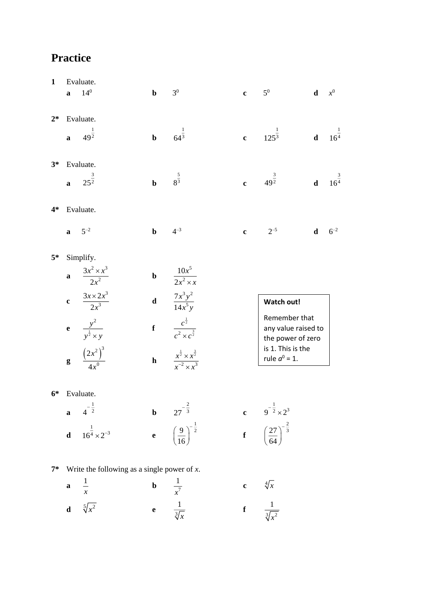| $\mathbf{1}$ |              | Evaluate.                                      |              |                                                                                     |              |                                                                                  |             |                    |
|--------------|--------------|------------------------------------------------|--------------|-------------------------------------------------------------------------------------|--------------|----------------------------------------------------------------------------------|-------------|--------------------|
|              | $\mathbf{a}$ | $14^{0}$                                       | $\mathbf b$  | 3 <sup>0</sup>                                                                      | $\mathbf c$  | $5^0$                                                                            | d           | $x^0$              |
|              |              |                                                |              |                                                                                     |              |                                                                                  |             |                    |
| $2*$         |              | Evaluate.                                      |              |                                                                                     |              |                                                                                  |             |                    |
|              | $\mathbf{a}$ | $49^{\frac{1}{2}}$                             | $\mathbf b$  | $rac{1}{64^3}$                                                                      | $\mathbf{c}$ | $125^{\frac{1}{3}}$                                                              | $\mathbf d$ | $16^{\frac{1}{4}}$ |
| $3*$         |              | Evaluate.                                      |              |                                                                                     |              |                                                                                  |             |                    |
|              | $\mathbf{a}$ | $25^{\frac{3}{2}}$                             | $\mathbf b$  | $8^{\frac{5}{3}}$                                                                   | $\mathbf{c}$ | $49^{\frac{3}{2}}$                                                               | $\mathbf d$ | $16^{\frac{3}{4}}$ |
| $4*$         |              | Evaluate.                                      |              |                                                                                     |              |                                                                                  |             |                    |
|              | $\mathbf{a}$ | $5^{-2}$                                       | $\mathbf b$  | $4^{-3}$                                                                            | $\mathbf c$  | $2^{-5}$                                                                         | $\mathbf d$ | $6^{-2}$           |
| $5*$         |              | Simplify.                                      |              |                                                                                     |              |                                                                                  |             |                    |
|              | $\mathbf{a}$ | $\frac{3x^2 \times x^3}{2x^2}$                 | $\mathbf b$  | $\frac{10x^5}{2x^2 \times x}$                                                       |              |                                                                                  |             |                    |
|              | $\mathbf{c}$ | $\frac{3x \times 2x^3}{2x^3}$                  | $\mathbf d$  | $\frac{7x^3y^2}{14x^5y}$                                                            |              | Watch out!                                                                       |             |                    |
|              | $\mathbf{e}$ | $\frac{y^2}{y^{\frac{1}{2}} \times y}$         | $\mathbf f$  | $\frac{c^{\frac{1}{2}}}{c^2 \times c^{\frac{3}{2}}}$                                |              | Remember that<br>any value raised to<br>the power of zero                        |             |                    |
|              | $\bf{g}$     | $\frac{\left(2x^2\right)^3}{4x^0}$             | $\mathbf{h}$ | $\frac{x^{\frac{1}{2}} \times x^{\frac{3}{2}}}{x^{-2} \times x^3}$                  |              | is 1. This is the<br>rule $a^0 = 1$ .                                            |             |                    |
| $6*$         |              | Evaluate.                                      |              |                                                                                     |              |                                                                                  |             |                    |
|              | $\mathbf{a}$ | $4^{-\frac{1}{2}}$                             |              | <b>b</b> $27^{-\frac{2}{3}}$<br><b>e</b> $\left(\frac{9}{16}\right)^{-\frac{1}{2}}$ |              |                                                                                  |             |                    |
|              | $\mathbf d$  | $16^{\frac{1}{4}} \times 2^{-3}$               |              |                                                                                     |              | c $9^{-\frac{1}{2}} \times 2^3$<br>f $\left(\frac{27}{64}\right)^{-\frac{2}{3}}$ |             |                    |
| $7*$         |              | Write the following as a single power of $x$ . |              |                                                                                     |              |                                                                                  |             |                    |
|              | $\mathbf a$  | $\frac{1}{1}$                                  | $\mathbf b$  |                                                                                     | $\mathbf c$  | $\sqrt[4]{x}$                                                                    |             |                    |
|              |              | $\boldsymbol{\mathcal{X}}$                     |              | $\frac{1}{x^7}$                                                                     |              |                                                                                  |             |                    |

**d**  $\sqrt[5]{x^2}$  **e**  $\frac{1}{3}$ 1  $\frac{1}{x}$  **f**  $\frac{1}{3\sqrt{x^2}}$ 

1 *x*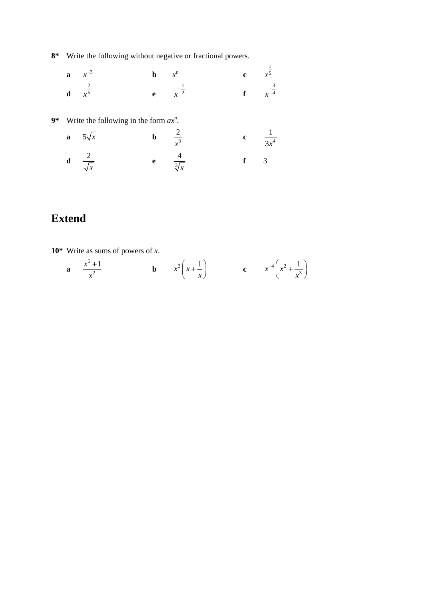**8\*** Write the following without negative or fractional powers.

| <b>a</b> $x^{-3}$          | <b>b</b> $x^0$              | <b>c</b> $x^{\frac{1}{5}}$  |  |
|----------------------------|-----------------------------|-----------------------------|--|
| <b>d</b> $x^{\frac{2}{5}}$ | <b>e</b> $x^{-\frac{1}{2}}$ | <b>f</b> $x^{-\frac{3}{4}}$ |  |

**9\*** Write the following in the form *ax<sup>n</sup>* .

| a $5\sqrt{x}$                 | $rac{2}{x^3}$         | $\frac{1}{3x^4}$        |
|-------------------------------|-----------------------|-------------------------|
| <b>d</b> $\frac{2}{\sqrt{x}}$ | $rac{4}{\sqrt[3]{x}}$ | $\overline{\mathbf{3}}$ |

# **Extend**

**10\*** Write as sums of powers of *x*.

**a** 
$$
\frac{x^5 + 1}{x^2}
$$
 **b**  $x^2 \left(x + \frac{1}{x}\right)$  **c**  $x^{-4} \left(x^2 + \frac{1}{x^3}\right)$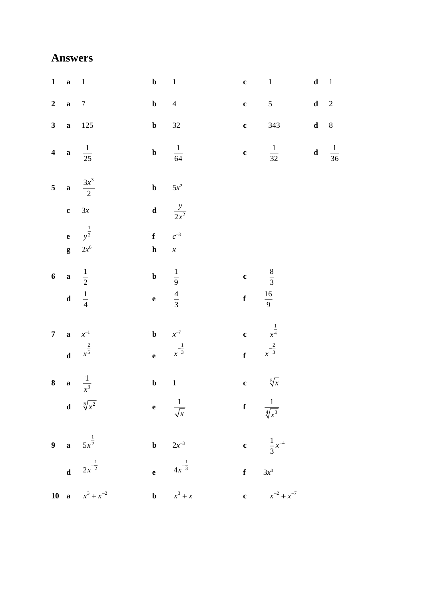| $1 \quad a \quad 1$      |                                              | $\mathbf{b}$ 1                      |                                                  |                         | $c \t 1$                                        | $\mathbf d-1$ |                |
|--------------------------|----------------------------------------------|-------------------------------------|--------------------------------------------------|-------------------------|-------------------------------------------------|---------------|----------------|
| 2 a $7$                  |                                              | $\mathbf{b}$ 4                      |                                                  |                         | $c = 5$                                         | $\mathbf d$   | $\overline{2}$ |
|                          | 3 <b>a</b> 125                               | $\mathbf{b}$ 32                     |                                                  |                         | <b>c</b> $343$                                  | $d \t 8$      |                |
|                          | 4 <b>a</b> $\frac{1}{25}$                    |                                     | <b>b</b> $\frac{1}{64}$                          |                         | <b>c</b> $\frac{1}{32}$ <b>d</b> $\frac{1}{36}$ |               |                |
|                          | 5 <b>a</b> $\frac{3x^3}{2}$                  | <b>b</b> $5x^2$                     |                                                  |                         |                                                 |               |                |
| $c \quad 3x$             |                                              |                                     | <b>d</b> $\frac{y}{2x^2}$                        |                         |                                                 |               |                |
|                          | <b>e</b> $y^{\frac{1}{2}}$<br>$g \quad 2x^6$ | $f \qquad c^{-3}$<br>$\mathbf{h}$ x |                                                  |                         |                                                 |               |                |
| 6 <b>a</b> $\frac{1}{2}$ |                                              |                                     | <b>b</b> $\frac{1}{9}$<br><b>e</b> $\frac{4}{3}$ | c $\frac{8}{3}$         |                                                 |               |                |
| d $\frac{1}{4}$          |                                              |                                     |                                                  | <b>f</b> $\frac{16}{9}$ |                                                 |               |                |
| <b>7 a</b> $x^{-1}$      |                                              | <b>b</b> $x^{-7}$                   |                                                  |                         | c $x^{\frac{1}{4}}$<br>f $x^{-\frac{2}{3}}$     |               |                |
|                          | <b>d</b> $x^{\frac{2}{5}}$                   |                                     | <b>e</b> $x^{-\frac{1}{3}}$                      |                         |                                                 |               |                |
|                          | 8 <b>a</b> $\frac{1}{x^3}$                   | $\mathbf{b}$ 1                      |                                                  |                         | c $\sqrt[5]{x}$                                 |               |                |
|                          | <b>d</b> $\sqrt[5]{x^2}$                     |                                     | e $\frac{1}{\sqrt{x}}$                           |                         | <b>f</b> $\frac{1}{\sqrt[4]{x^3}}$              |               |                |
|                          | 9 <b>a</b> $5x^{\frac{1}{2}}$                |                                     | <b>b</b> $2x^{-3}$                               |                         | c $\frac{1}{3}x^{-4}$                           |               |                |
|                          | <b>d</b> $2x^{-\frac{1}{2}}$                 |                                     | <b>e</b> $4x^{-\frac{1}{3}}$                     |                         | f $3x^0$                                        |               |                |
|                          | 10 <b>a</b> $x^3 + x^{-2}$                   |                                     | <b>b</b> $x^3 + x$                               |                         | c $x^{-2} + x^{-7}$                             |               |                |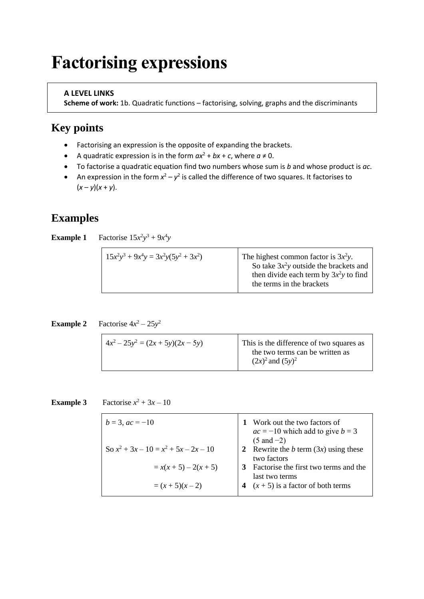# **Factorising expressions**

### **A LEVEL LINKS**

**Scheme of work:** 1b. Quadratic functions – factorising, solving, graphs and the discriminants

## **Key points**

- Factorising an expression is the opposite of expanding the brackets.
- A quadratic expression is in the form  $ax^2 + bx + c$ , where  $a \ne 0$ .
- To factorise a quadratic equation find two numbers whose sum is *b* and whose product is *ac*.
- An expression in the form  $x^2 y^2$  is called the difference of two squares. It factorises to  $(x - y)(x + y)$ .

## **Examples**

**Example 1** Factorise  $15x^2y^3 + 9x^4y$ 

| then divide each term by $3x^2y$ to find<br>the terms in the brackets |
|-----------------------------------------------------------------------|
|-----------------------------------------------------------------------|

**Example 2** Factorise  $4x^2 - 25y^2$ 

| $(2x)^2$ and $(5y)^2$ |
|-----------------------|
|-----------------------|

#### **Example 3** Factorise  $x^2 + 3x - 10$

| $b = 3$ , $ac = -10$                    | Work out the two factors of<br>$ac = -10$ which add to give $b = 3$<br>$(5 \text{ and } -2)$ |
|-----------------------------------------|----------------------------------------------------------------------------------------------|
| So $x^2 + 3x - 10 = x^2 + 5x - 2x - 10$ | 2 Rewrite the b term $(3x)$ using these<br>two factors                                       |
| $= x(x+5) - 2(x+5)$                     | Factorise the first two terms and the<br>last two terms                                      |
| $=(x+5)(x-2)$                           | $(x + 5)$ is a factor of both terms                                                          |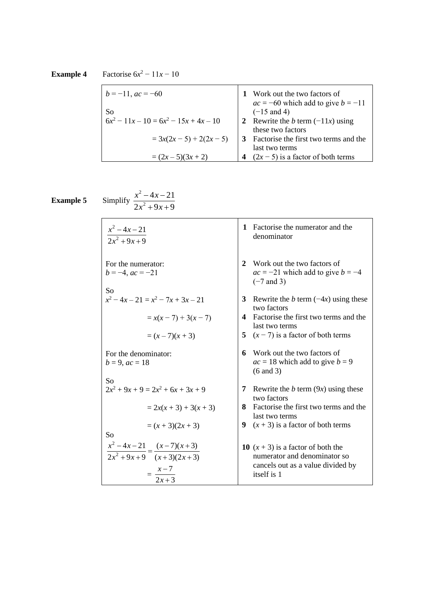**Example 4** Factorise  $6x^2 - 11x - 10$ 

| $b = -11$ , $ac = -60$                   | Work out the two factors of<br>$ac = -60$ which add to give $b = -11$ |
|------------------------------------------|-----------------------------------------------------------------------|
| <b>So</b>                                | $(-15$ and 4)                                                         |
| $6x^2 - 11x - 10 = 6x^2 - 15x + 4x - 10$ | 2 Rewrite the <i>b</i> term $(-11x)$ using                            |
|                                          | these two factors                                                     |
| $= 3x(2x-5) + 2(2x - 5)$                 | Factorise the first two terms and the                                 |
|                                          | last two terms                                                        |
| $=(2x-5)(3x+2)$                          | $(2x - 5)$ is a factor of both terms                                  |

**Example 5** Simplify

2  $4x - 21$  $2x^2 + 9x + 9$  $x - 4x$ *x x* − <sup>−</sup>  $+9x+$ 

2

| $x^2 - 4x - 21$<br>$\frac{1}{2x^2+9x+9}$                                              | Factorise the numerator and the<br>1<br>denominator                                                                      |
|---------------------------------------------------------------------------------------|--------------------------------------------------------------------------------------------------------------------------|
| For the numerator:<br>$b = -4$ , $ac = -21$<br>So                                     | Work out the two factors of<br>2<br>$ac = -21$ which add to give $b = -4$<br>$(-7$ and 3)                                |
| $x^2-4x-21 = x^2-7x+3x-21$                                                            | 3<br>Rewrite the b term $(-4x)$ using these<br>two factors                                                               |
| $= x(x-7) + 3(x - 7)$                                                                 | Factorise the first two terms and the<br>4<br>last two terms                                                             |
| $=(x-7)(x+3)$                                                                         | 5 $(x - 7)$ is a factor of both terms                                                                                    |
| For the denominator:<br>$b = 9, ac = 18$                                              | Work out the two factors of<br>6<br>$ac = 18$ which add to give $b = 9$<br>$(6 \text{ and } 3)$                          |
| So<br>$2x^2 + 9x + 9 = 2x^2 + 6x + 3x + 9$                                            | 7<br>Rewrite the b term $(9x)$ using these<br>two factors                                                                |
| $= 2x(x + 3) + 3(x + 3)$                                                              | Factorise the first two terms and the<br>8<br>last two terms                                                             |
| $=(x+3)(2x+3)$<br>So                                                                  | 9<br>$(x + 3)$ is a factor of both terms                                                                                 |
| $\frac{x^2-4x-21}{2x^2+9x+9} = \frac{(x-7)(x+3)}{(x+3)(2x+3)}$<br>$=\frac{x-7}{2x+3}$ | 10 $(x + 3)$ is a factor of both the<br>numerator and denominator so<br>cancels out as a value divided by<br>itself is 1 |
|                                                                                       |                                                                                                                          |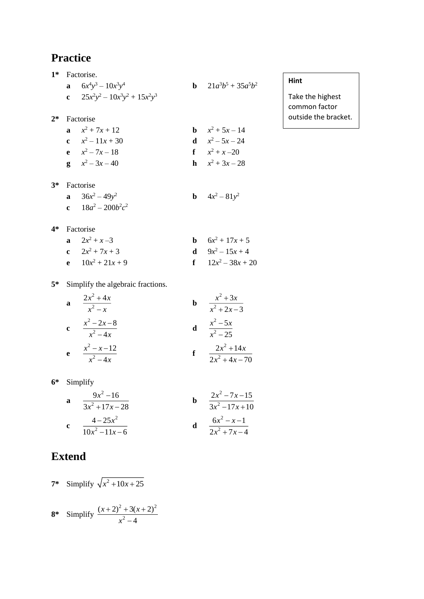| $1*$  | Factorise.                         |                                |
|-------|------------------------------------|--------------------------------|
|       | <b>a</b> $6x^4y^3 - 10x^3y^4$      | <b>b</b> $21a^3b^5 + 35a^5b^2$ |
|       | c $25x^2y^2 - 10x^3y^2 + 15x^2y^3$ |                                |
| $2*$  | Factorise                          |                                |
|       | $x^2 + 7x + 12$                    | <b>b</b> $x^2 + 5x - 14$       |
|       | c $x^2-11x+30$                     | <b>d</b> $x^2 - 5x - 24$       |
|       | e $x^2 - 7x - 18$                  | $f \t x^2 + x - 20$            |
|       | <b>g</b> $x^2-3x-40$               | <b>h</b> $x^2 + 3x - 28$       |
| $3^*$ | Factorise                          |                                |
|       | <b>a</b> $36x^2 - 49y^2$           | <b>b</b> $4x^2 - 81y^2$        |

### **Hint**

Take the highest common factor outside the bracket.

**4\*** Factorise

| a $2x^2 + x - 3$    | <b>b</b> $6x^2 + 17x + 5$ |
|---------------------|---------------------------|
| c $2x^2 + 7x + 3$   | <b>d</b> $9x^2 - 15x + 4$ |
| e $10x^2 + 21x + 9$ | f $12x^2-38x+20$          |

**5\*** Simplify the algebraic fractions.

**c**  $18a^2 - 200b^2c^2$ 

| a           | $2x^2 + 4x$<br>$x^2-x$     | b | $x^2+3x$<br>$x^2 + 2x - 3$        |
|-------------|----------------------------|---|-----------------------------------|
| $\mathbf c$ | $x^2 - 2x - 8$<br>$x^2-4x$ |   | $x^2 - 5x$<br>$\overline{x^2-25}$ |
| e           | $x^2 - x - 12$<br>$x^2-4x$ |   | $2x^2 + 14x$<br>$2x^2+4x-70$      |

**6\*** Simplify

**a** 
$$
\frac{9x^2 - 16}{3x^2 + 17x - 28}
$$
  
\n**b** 
$$
\frac{2x^2 - 7x - 15}{3x^2 - 17x + 10}
$$
  
\n**c** 
$$
\frac{4 - 25x^2}{10x^2 - 11x - 6}
$$
  
\n**d** 
$$
\frac{6x^2 - x - 1}{2x^2 + 7x - 4}
$$

# **Extend**

7\* Simplify 
$$
\sqrt{x^2 + 10x + 25}
$$
  
8\* Simplify  $\frac{(x+2)^2 + 3(x+2)^2}{x^2 - 4}$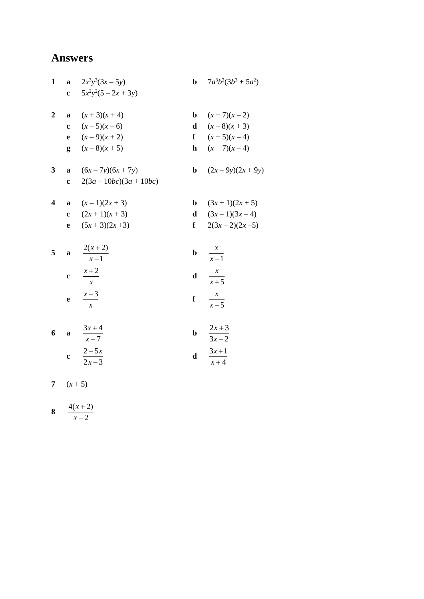| $\mathbf{1}$            |              | a $2x^3y^3(3x-5y)$    |             | <b>b</b> $7a^3b^2(3b^3 + 5a^2)$ |
|-------------------------|--------------|-----------------------|-------------|---------------------------------|
|                         |              | c $5x^2y^2(5-2x+3y)$  |             |                                 |
|                         |              |                       |             |                                 |
| $\overline{2}$          | $\mathbf{a}$ | $(x+3)(x+4)$          | b.          | $(x+7)(x-2)$                    |
|                         |              | c $(x-5)(x-6)$        |             | <b>d</b> $(x-8)(x+3)$           |
|                         |              | <b>e</b> $(x-9)(x+2)$ |             | f $(x+5)(x-4)$                  |
|                         |              | $g(x-8)(x+5)$         |             | <b>h</b> $(x+7)(x-4)$           |
|                         |              |                       |             |                                 |
| 3                       | a            | $(6x-7y)(6x+7y)$      |             | <b>b</b> $(2x-9y)(2x+9y)$       |
|                         | $\mathbf{c}$ | $2(3a-10bc)(3a+10bc)$ |             |                                 |
|                         |              |                       |             |                                 |
| $\overline{\mathbf{4}}$ | $\mathbf{a}$ | $(x-1)(2x+3)$         | b           | $(3x+1)(2x+5)$                  |
|                         |              | c $(2x+1)(x+3)$       |             | <b>d</b> $(3x-1)(3x-4)$         |
|                         | e            | $(5x+3)(2x+3)$        |             | f $2(3x-2)(2x-5)$               |
|                         |              |                       |             |                                 |
| 5                       | $\mathbf{a}$ | $\frac{2(x+2)}{x-1}$  | $\mathbf b$ | $\frac{x}{x-1}$                 |
|                         |              |                       |             |                                 |
|                         | $\mathbf c$  | $\frac{x+2}{x+2}$     | $\mathbf d$ |                                 |
|                         |              | $\chi$                |             | $\frac{x}{x+5}$                 |
|                         |              | $x+3$                 | f           |                                 |
|                         | $\mathbf{e}$ | $\mathcal{X}$         |             | $\frac{x}{x-5}$                 |
|                         |              |                       |             |                                 |
| 6                       |              | $\frac{3x+4}{x+2}$    | $\mathbf b$ |                                 |
|                         | $\mathbf{a}$ | $x+7$                 |             | $\frac{2x+3}{3x-2}$             |
|                         |              |                       |             | $3x + 1$                        |
|                         | $\mathbf c$  | $\frac{2-5x}{2x-3}$   | $\mathbf d$ | $x + 4$                         |
|                         |              |                       |             |                                 |

7  $(x+5)$ 

$$
8 \quad \frac{4(x+2)}{x-2}
$$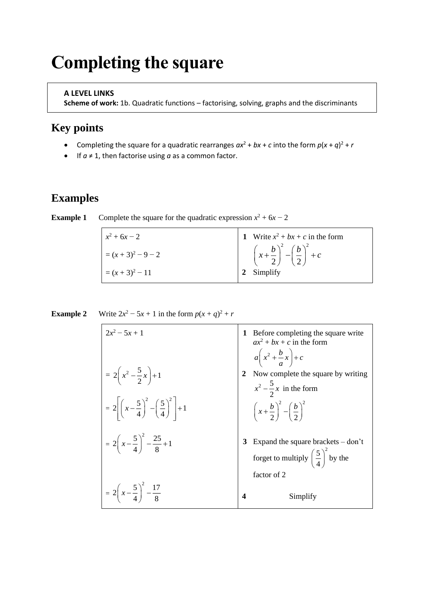# **Completing the square**

#### **A LEVEL LINKS**

**Scheme of work:** 1b. Quadratic functions – factorising, solving, graphs and the discriminants

## **Key points**

- Completing the square for a quadratic rearranges  $ax^2 + bx + c$  into the form  $p(x + q)^2 + r$
- If *a* ≠ 1, then factorise using *a* as a common factor.

### **Examples**

| $x^2 + 6x - 2$ | 1 Write $x^2 + bx + c$ in the form                              |
|----------------|-----------------------------------------------------------------|
| $=(x+3)^2-9-2$ | $\left(x+\frac{b}{2}\right)^2 - \left(\frac{b}{2}\right)^2 + c$ |
| $=(x+3)^2-11$  | 2 Simplify                                                      |

| <b>Example 1</b> |  |  | Complete the square for the quadratic expression $x^2 + 6x - 2$ |  |  |  |
|------------------|--|--|-----------------------------------------------------------------|--|--|--|
|------------------|--|--|-----------------------------------------------------------------|--|--|--|

| <b>Example 2</b> |  |  | Write $2x^2 - 5x + 1$ in the form $p(x + q)^2 + r$ |
|------------------|--|--|----------------------------------------------------|
|------------------|--|--|----------------------------------------------------|

| $2x^2 - 5x + 1$                                                                | Before completing the square write<br>$ax^2 + bx + c$ in the form<br>$a\left(x^2+\frac{b}{a}x\right)+c$ |
|--------------------------------------------------------------------------------|---------------------------------------------------------------------------------------------------------|
| $=2\left(x^2-\frac{5}{2}x\right)+1$                                            | Now complete the square by writing<br>$x^2 - \frac{5}{2}x$ in the form                                  |
| $=2\left[\left(x-\frac{5}{4}\right)^{2}-\left(\frac{5}{4}\right)^{2}\right]+1$ | $\left(x+\frac{b}{2}\right)^2-\left(\frac{b}{2}\right)^2$                                               |
| $=2\left(x-\frac{5}{4}\right)^2-\frac{25}{8}+1$                                | Expand the square brackets - don't<br>forget to multiply $\left(\frac{5}{4}\right)^2$ by the            |
| $=2\left(x-\frac{5}{4}\right)^2-\frac{17}{8}$                                  | factor of 2<br>Simplify<br>4                                                                            |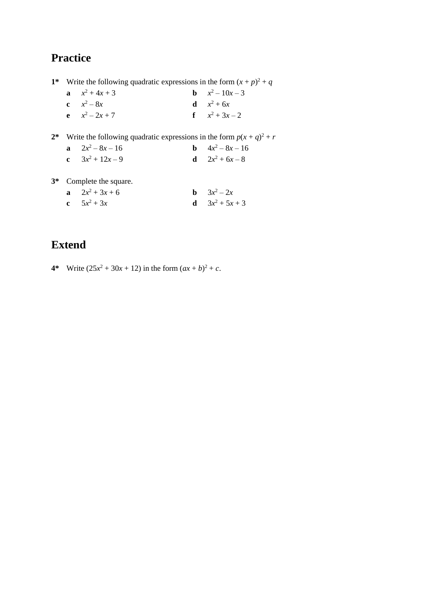**1**<sup>\*</sup> Write the following quadratic expressions in the form  $(x + p)^2 + q$ 

| a $x^2 + 4x + 3$    | <b>b</b> $x^2-10x-3$ |
|---------------------|----------------------|
| <b>c</b> $x^2 - 8x$ | <b>d</b> $x^2 + 6x$  |
| <b>e</b> $x^2-2x+7$ | f $x^2 + 3x - 2$     |

**2\*** Write the following quadratic expressions in the form  $p(x + q)^2 + r$ **a**  $2x^2 - 8x - 16$  **b** 4*x* **b**  $4x^2 - 8x - 16$ **c**  $3x^2 + 12x - 9$  **d** 2*x* **d**  $2x^2 + 6x - 8$ 

**3\*** Complete the square.

| a $2x^2 + 3x + 6$ | <b>b</b> $3x^2 - 2x$     |
|-------------------|--------------------------|
| c $5x^2 + 3x$     | <b>d</b> $3x^2 + 5x + 3$ |

# **Extend**

**4\*** Write  $(25x^2 + 30x + 12)$  in the form  $(ax + b)^2 + c$ .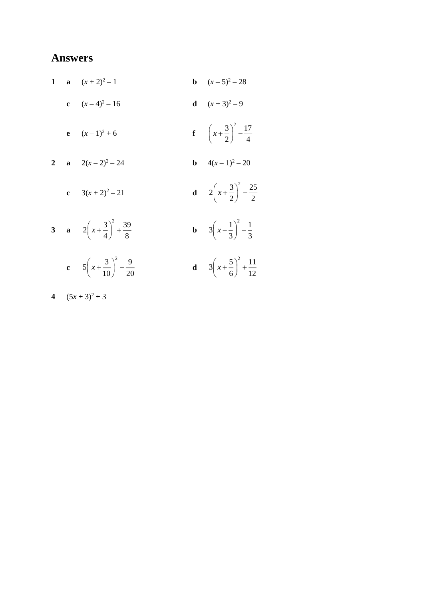| $\mathbf{1}$ | a $(x+2)^2-1$                                           | <b>b</b> $(x-5)^2-28$                                  |
|--------------|---------------------------------------------------------|--------------------------------------------------------|
|              | c $(x-4)^2-16$                                          | <b>d</b> $(x+3)^2-9$                                   |
|              | <b>e</b> $(x-1)^2+6$                                    | <b>f</b> $\left(x+\frac{3}{2}\right)^2-\frac{17}{4}$   |
|              | $a = 2(x-2)^2 - 24$                                     | <b>b</b> $4(x-1)^2-20$                                 |
|              | c $3(x+2)^2-21$                                         | <b>d</b> $2\left(x+\frac{3}{2}\right)^2-\frac{25}{2}$  |
|              | 3 <b>a</b> $2\left(x+\frac{3}{4}\right)^2+\frac{39}{8}$ | <b>b</b> $3\left(x-\frac{1}{3}\right)^2-\frac{1}{3}$   |
|              | c $5\left(x+\frac{3}{10}\right)^2 - \frac{9}{20}$       | <b>d</b> $3\left(x+\frac{5}{6}\right)^2+\frac{11}{12}$ |

$$
4 \quad (5x+3)^2+3
$$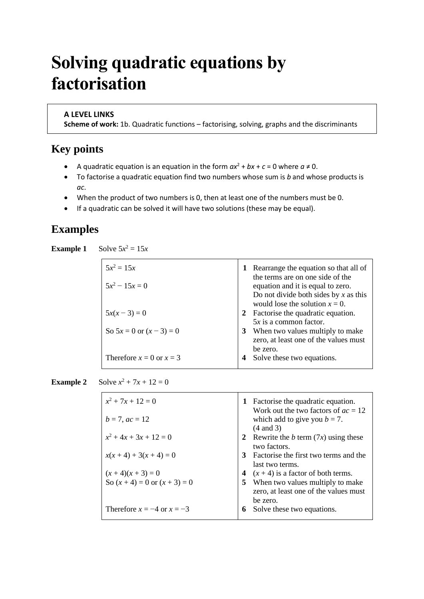# **Solving quadratic equations by factorisation**

#### **A LEVEL LINKS**

**Scheme of work:** 1b. Quadratic functions – factorising, solving, graphs and the discriminants

## **Key points**

- A quadratic equation is an equation in the form  $ax^2 + bx + c = 0$  where  $a \ne 0$ .
- To factorise a quadratic equation find two numbers whose sum is *b* and whose products is *ac*.
- When the product of two numbers is 0, then at least one of the numbers must be 0.
- If a quadratic can be solved it will have two solutions (these may be equal).

### **Examples**

**Example 1** Solve  $5x^2 = 15x$ 

| $5x^2 = 15x$<br>$5x^2 - 15x = 0$ | Rearrange the equation so that all of<br>1<br>the terms are on one side of the<br>equation and it is equal to zero.<br>Do not divide both sides by x as this<br>would lose the solution $x = 0$ . |
|----------------------------------|---------------------------------------------------------------------------------------------------------------------------------------------------------------------------------------------------|
| $5x(x-3) = 0$                    | 2 Factorise the quadratic equation.<br>$5x$ is a common factor.                                                                                                                                   |
| So $5x = 0$ or $(x - 3) = 0$     | 3 When two values multiply to make<br>zero, at least one of the values must<br>be zero.                                                                                                           |
| Therefore $x = 0$ or $x = 3$     | 4 Solve these two equations.                                                                                                                                                                      |

**Example 2** Solve  $x^2 + 7x + 12 = 0$ 

| $x^2 + 7x + 12 = 0$               | 1 Factorise the quadratic equation.                                                              |
|-----------------------------------|--------------------------------------------------------------------------------------------------|
| $b = 7$ , $ac = 12$               | Work out the two factors of $ac = 12$<br>which add to give you $b = 7$ .<br>$(4 \text{ and } 3)$ |
| $x^2 + 4x + 3x + 12 = 0$          | 2 Rewrite the <i>b</i> term $(7x)$ using these<br>two factors.                                   |
| $x(x+4) + 3(x+4) = 0$             | 3 Factorise the first two terms and the<br>last two terms.                                       |
| $(x+4)(x+3) = 0$                  | $(x + 4)$ is a factor of both terms.<br>4                                                        |
| So $(x + 4) = 0$ or $(x + 3) = 0$ | 5.<br>When two values multiply to make<br>zero, at least one of the values must                  |
|                                   | be zero.                                                                                         |
| Therefore $x = -4$ or $x = -3$    | Solve these two equations.<br>6                                                                  |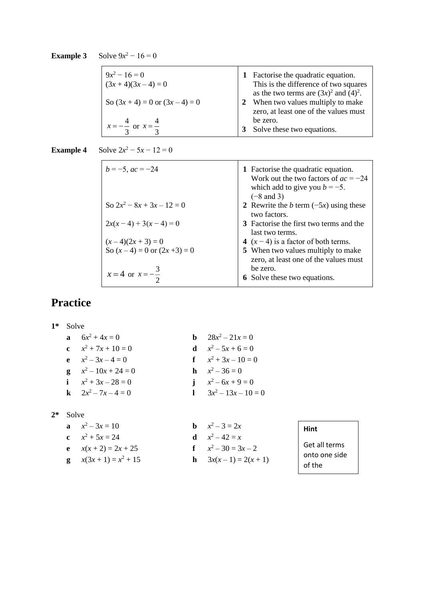#### **Example 3** Solve  $9x^2 - 16 = 0$

| $9x^2 - 16 = 0$<br>$(3x+4)(3x-4)=0$     | 1 Factorise the quadratic equation.<br>This is the difference of two squares<br>as the two terms are $(3x)^2$ and $(4)^2$ . |
|-----------------------------------------|-----------------------------------------------------------------------------------------------------------------------------|
| So $(3x+4) = 0$ or $(3x-4) = 0$         | 2 When two values multiply to make<br>zero, at least one of the values must                                                 |
| $x = -\frac{4}{3}$ or $x = \frac{1}{3}$ | be zero.<br>Solve these two equations.<br>3                                                                                 |

**Example 4** Solve  $2x^2 - 5x - 12 = 0$ 

| $b = -5$ , $ac = -24$                                   | 1 Factorise the quadratic equation.<br>Work out the two factors of $ac = -24$<br>which add to give you $b = -5$ .<br>$(-8$ and 3) |
|---------------------------------------------------------|-----------------------------------------------------------------------------------------------------------------------------------|
| So $2x^2 - 8x + 3x - 12 = 0$                            | 2 Rewrite the b term $(-5x)$ using these<br>two factors.                                                                          |
| $2x(x-4) + 3(x-4) = 0$                                  | 3 Factorise the first two terms and the<br>last two terms.                                                                        |
|                                                         | 4 $(x-4)$ is a factor of both terms.                                                                                              |
| $(x-4)(2x + 3) = 0$<br>So $(x-4) = 0$ or $(2x + 3) = 0$ | 5 When two values multiply to make<br>zero, at least one of the values must                                                       |
| $x = 4$ or $x = -\frac{3}{x}$                           | be zero.                                                                                                                          |
|                                                         | <b>6</b> Solve these two equations.                                                                                               |

## **Practice**

**1\*** Solve **a**  $6x^2 + 4x = 0$  **b** 28*x* **b**  $28x^2 - 21x = 0$ **c**  $x^2 + 7x + 10 = 0$  **d** *x* **d**  $x^2 - 5x + 6 = 0$ **e**  $x^2 - 3x - 4 = 0$  **f** *x*  $x^2 + 3x - 10 = 0$ **g**  $x^2 - 10x + 24 = 0$  **h** *x* **h**  $x^2 - 36 = 0$ **i**  $x^2 + 3x - 28 = 0$  **j** *x* j  $x^2 - 6x + 9 = 0$ **k**  $2x^2 - 7x - 4 = 0$  **l** 3*x* 1  $3x^2 - 13x - 10 = 0$ 

#### **2\*** Solve

- **a**  $x^2 3x = 10$  **b** *x* **c**  $x^2 + 5x = 24$  **d** *x* **e**  $x(x+2) = 2x + 25$ **g**  $x(3x+1) = x^2 + 15$
- **b**  $x^2 3 = 2x$ **d**  $x^2 - 42 = x$  $x^2 - 30 = 3x - 2$ **h**  $3x(x-1) = 2(x+1)$
- **Hint**
- Get all terms onto one side of the

equation.<br>The contract of the contract of the contract of the contract of the contract of the contract of the contract o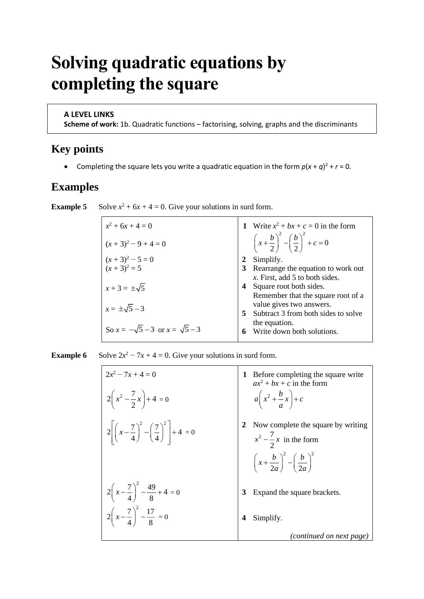# **Solving quadratic equations by completing the square**

#### **A LEVEL LINKS**

**Scheme of work:** 1b. Quadratic functions – factorising, solving, graphs and the discriminants

### **Key points**

• Completing the square lets you write a quadratic equation in the form  $p(x + q)^2 + r = 0$ *.* 

### **Examples**

**Example 5** Solve  $x^2 + 6x + 4 = 0$ . Give your solutions in surd form.

| 1 Write $x^2 + bx + c = 0$ in the form                              |
|---------------------------------------------------------------------|
| $\left(x+\frac{b}{2}\right)^2 - \left(\frac{b}{2}\right)^2 + c = 0$ |
| Simplify.                                                           |
| Rearrange the equation to work out                                  |
| x. First, add 5 to both sides.                                      |
| Square root both sides.                                             |
| Remember that the square root of a                                  |
| value gives two answers.                                            |
| Subtract 3 from both sides to solve                                 |
| the equation.                                                       |
| Write down both solutions.                                          |
|                                                                     |

**Example 6** Solve  $2x^2 - 7x + 4 = 0$ . Give your solutions in surd form.

| $2x^2 - 7x + 4 = 0$<br>$2\left(x^2-\frac{7}{2}x\right)+4=0$                 | Before completing the square write<br>$ax^2 + bx + c$ in the form<br>$a\left(x^2+\frac{b}{a}x\right)+c$                               |
|-----------------------------------------------------------------------------|---------------------------------------------------------------------------------------------------------------------------------------|
| $2\left[\left(x-\frac{7}{4}\right)^2-\left(\frac{7}{4}\right)^2\right]+4=0$ | Now complete the square by writing<br>$x^2 - \frac{7}{2}x$ in the form<br>$\left(x+\frac{b}{2a}\right)^2-\left(\frac{b}{2a}\right)^2$ |
| $2\left(x-\frac{7}{4}\right)^2-\frac{49}{8}+4=0$                            | Expand the square brackets.                                                                                                           |
| $2\left(x-\frac{7}{4}\right)^2-\frac{17}{8}=0$                              | Simplify.<br>(continued on next page)                                                                                                 |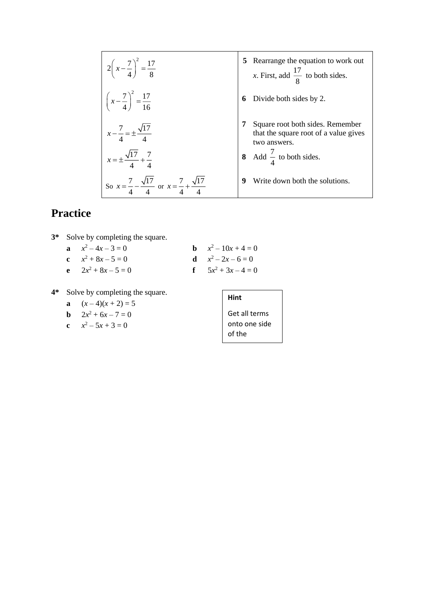| $2\left(x-\frac{7}{4}\right)^2 = \frac{17}{8}$                                        | <b>5</b> Rearrange the equation to work out<br>x. First, add $\frac{17}{8}$ to both sides. |
|---------------------------------------------------------------------------------------|--------------------------------------------------------------------------------------------|
| $\left(x-\frac{7}{4}\right)^2 = \frac{17}{16}$                                        | Divide both sides by 2.                                                                    |
| $x - \frac{7}{4} = \pm \frac{\sqrt{17}}{4}$                                           | Square root both sides. Remember<br>that the square root of a value gives<br>two answers.  |
| $x = \pm \frac{\sqrt{17}}{4} + \frac{7}{4}$                                           | 8 Add $\frac{7}{4}$ to both sides.                                                         |
| So $x = \frac{7}{4} - \frac{\sqrt{17}}{4}$ or $x = \frac{7}{4} + \frac{\sqrt{17}}{4}$ | Write down both the solutions.<br>9                                                        |

|  | 3* Solve by completing the square. |                         |
|--|------------------------------------|-------------------------|
|  | $x^2-4x-3=0$                       | <b>b</b> $x^2-10x+4=0$  |
|  | c $x^2 + 8x - 5 = 0$               | <b>d</b> $x^2-2x-6=0$   |
|  | <b>e</b> $2x^2 + 8x - 5 = 0$       | $f = 5x^2 + 3x - 4 = 0$ |

### **4\*** Solve by completing the square.

**a** 
$$
(x-4)(x+2) = 5
$$

**b** 
$$
2x^2 + 6x - 7 = 0
$$

$$
c \t x^2 - 5x + 3 = 0
$$

| Hint          |
|---------------|
| Get all terms |

equation.

Get all terms onto one side of the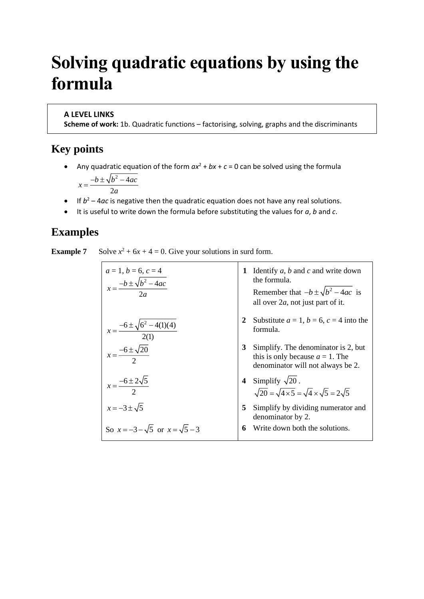# **Solving quadratic equations by using the formula**

#### **A LEVEL LINKS**

**Scheme of work:** 1b. Quadratic functions – factorising, solving, graphs and the discriminants

### **Key points**

• Any quadratic equation of the form  $ax^2 + bx + c = 0$  can be solved using the formula  $\Gamma$ <sub>2</sub>

$$
x = \frac{-b \pm \sqrt{b^2 - 4ac}}{2a}
$$

- $\bullet$  If  $b^2 4ac$  is negative then the quadratic equation does not have any real solutions.
- It is useful to write down the formula before substituting the values for *a*, *b* and *c*.

## **Examples**

**Example 7** Solve  $x^2 + 6x + 4 = 0$ . Give your solutions in surd form.

| $a = 1, b = 6, c = 4$                          | 1 Identify a, b and c and write down the formula.                                                       |
|------------------------------------------------|---------------------------------------------------------------------------------------------------------|
| $x = \frac{-b \pm \sqrt{b^2 - 4ac}}{2a}$       | 1 Identify a, b and c and write down the formula.                                                       |
| $x = \frac{-6 \pm \sqrt{6^2 - 4(1)(4)}}{2(1)}$ | 2 Substitute a = 1, b = 6, c = 4 into the formula.                                                      |
| $x = \frac{-6 \pm \sqrt{20}}{2}$               | 3 Simplify. The denominator is 2, but this is only because a = 1. The denominator will not always be 2. |
| $x = \frac{-6 \pm 2\sqrt{5}}{2}$               | 4 Simplify $\sqrt{20}$ .                                                                                |
| $x = -3 \pm \sqrt{5}$                          | 5 Simplify by dividing numerator and denominator by 2.                                                  |
| $So x = -3 - \sqrt{5}$ or $x = \sqrt{5} - 3$   | 6 Write down both the solutions.                                                                        |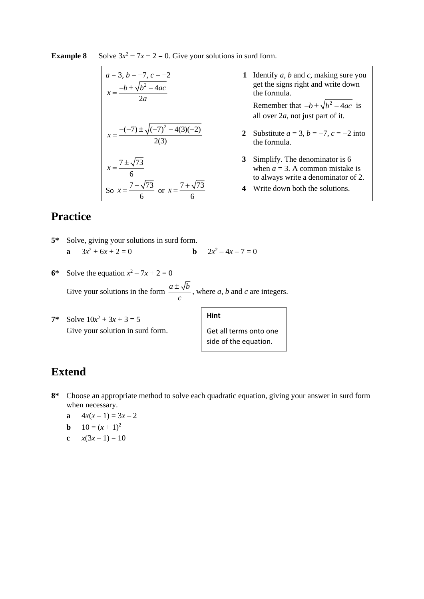| $a = 3, b = -7, c = -2$<br>$x = \frac{-b \pm \sqrt{b^2 - 4ac}}{2a}$                                  | Identify $a, b$ and $c$ , making sure you<br>1<br>get the signs right and write down<br>the formula.<br>Remember that $-b \pm \sqrt{b^2 - 4ac}$ is<br>all over $2a$ , not just part of it. |
|------------------------------------------------------------------------------------------------------|--------------------------------------------------------------------------------------------------------------------------------------------------------------------------------------------|
| $x = \frac{-(-7) \pm \sqrt{(-7)^2 - 4(3)(-2)}}{2(3)}$                                                | Substitute $a = 3$ , $b = -7$ , $c = -2$ into<br>2<br>the formula.                                                                                                                         |
| $x = \frac{7 \pm \sqrt{73}}{6}$<br>So $x = \frac{7 - \sqrt{73}}{9}$ or $x = \frac{7 + \sqrt{73}}{9}$ | Simplify. The denominator is 6<br>3<br>when $a = 3$ . A common mistake is<br>to always write a denominator of 2.<br>Write down both the solutions.<br>4                                    |

#### **Example 8** Solve  $3x^2 - 7x - 2 = 0$ . Give your solutions in surd form.

## **Practice**

- **5\*** Solve, giving your solutions in surd form. **a**  $3x^2 + 6x + 2 = 0$  **b** 2*x* **b**  $2x^2 - 4x - 7 = 0$
- **6\*** Solve the equation  $x^2 7x + 2 = 0$ Give your solutions in the form  $\frac{a \pm \sqrt{b}}{b}$ *c*  $\frac{\pm \sqrt{b}}{b}$ , where *a*, *b* and *c* are integers.
- **7\*** Solve  $10x^2 + 3x + 3 = 5$ Give your solution in surd form.

| <b>Hint</b>            |
|------------------------|
| Get all terms onto one |
| side of the equation.  |

## **Extend**

- **8\*** Choose an appropriate method to solve each quadratic equation, giving your answer in surd form when necessary.
	- **a**  $4x(x-1) = 3x-2$
	- **b**  $10 = (x + 1)^2$
	- **c**  $x(3x-1) = 10$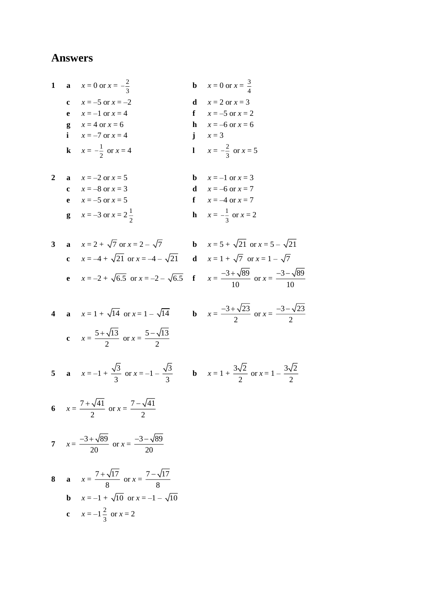1 **a** 
$$
x = 0
$$
 or  $x = -\frac{2}{3}$   
\n**b**  $x = 0$  or  $x = \frac{3}{4}$   
\n**c**  $x = -5$  or  $x = -2$   
\n**e**  $x = -1$  or  $x = 4$   
\n**f**  $x = -5$  or  $x = 2$   
\n**g**  $x = 4$  or  $x = 6$   
\n**i**  $x = -7$  or  $x = 4$   
\n**k**  $x = -\frac{1}{2}$  or  $x = 4$   
\n**l**  $x = -\frac{2}{3}$  or  $x = 5$ 

2 **a** 
$$
x = -2
$$
 or  $x = 5$   
\n**c**  $x = -8$  or  $x = 3$   
\n**e**  $x = -5$  or  $x = 5$   
\n**f**  $x = -4$  or  $x = 7$   
\n**g**  $x = -3$  or  $x = 2\frac{1}{2}$   
\n**h**  $x = -\frac{1}{3}$  or  $x = 2$ 

3 **a** 
$$
x = 2 + \sqrt{7}
$$
 or  $x = 2 - \sqrt{7}$   
\n**b**  $x = 5 + \sqrt{21}$  or  $x = 5 - \sqrt{21}$   
\n**c**  $x = -4 + \sqrt{21}$  or  $x = -4 - \sqrt{21}$   
\n**d**  $x = 1 + \sqrt{7}$  or  $x = 1 - \sqrt{7}$   
\n**e**  $x = -2 + \sqrt{6.5}$  or  $x = -2 - \sqrt{6.5}$   
\n**f**  $x = \frac{-3 + \sqrt{89}}{10}$  or  $x = \frac{-3 - \sqrt{89}}{10}$ 

4 **a** 
$$
x = 1 + \sqrt{14}
$$
 or  $x = 1 - \sqrt{14}$   
**c**  $x = \frac{5 + \sqrt{13}}{2}$  or  $x = \frac{5 - \sqrt{13}}{2}$ 

**b** 
$$
x = \frac{-3 + \sqrt{23}}{2}
$$
 or  $x = \frac{-3 - \sqrt{23}}{2}$   
**b**  $x = 1 + \frac{3\sqrt{2}}{2}$  or  $x = 1 - \frac{3\sqrt{2}}{2}$ 

6 
$$
x = \frac{7 + \sqrt{41}}{2}
$$
 or  $x = \frac{7 - \sqrt{41}}{2}$ 

5 **a**  $x=-1+\frac{\sqrt{3}}{3}$  or  $x=-1-\frac{\sqrt{3}}{3}$ 

7 
$$
x = \frac{-3 + \sqrt{89}}{20}
$$
 or  $x = \frac{-3 - \sqrt{89}}{20}$ 

8 **a** 
$$
x = \frac{7 + \sqrt{17}}{8}
$$
 or  $x = \frac{7 - \sqrt{17}}{8}$   
\n**b**  $x = -1 + \sqrt{10}$  or  $x = -1 - \sqrt{10}$   
\n**c**  $x = -1\frac{2}{3}$  or  $x = 2$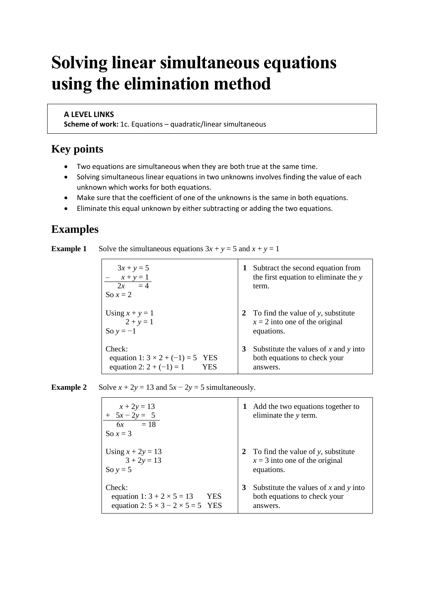# **Solving linear simultaneous equations using the elimination method**

#### **A LEVEL LINKS**

**Scheme of work:** 1c. Equations – quadratic/linear simultaneous

### **Key points**

- Two equations are simultaneous when they are both true at the same time.
- Solving simultaneous linear equations in two unknowns involves finding the value of each unknown which works for both equations.
- Make sure that the coefficient of one of the unknowns is the same in both equations.
- Eliminate this equal unknown by either subtracting or adding the two equations.

### **Examples**

**Example 1** Solve the simultaneous equations  $3x + y = 5$  and  $x + y = 1$ 

| $3x + y = 5$                            | Subtract the second equation from         |
|-----------------------------------------|-------------------------------------------|
| $x + y = 1$                             | 1                                         |
| $2x = 4$                                | the first equation to eliminate the y     |
| So $x = 2$                              | term.                                     |
| Using $x + y = 1$                       | 2 To find the value of y, substitute      |
| $2 + y = 1$                             | $x = 2$ into one of the original          |
| So $y = -1$                             | equations.                                |
| Check:                                  | Substitute the values of $x$ and $y$ into |
| equation 1: $3 \times 2 + (-1) = 5$ YES | 3                                         |
| equation 2: $2 + (-1) = 1$              | both equations to check your              |
| YES                                     | answers.                                  |

**Example 2** Solve  $x + 2y = 13$  and  $5x - 2y = 5$  simultaneously.

| $x + 2y = 13$<br>$+ 5x - 2y = 5$<br>$6x = 18$<br>So $x = 3$ | Add the two equations together to<br>eliminate the y term. |
|-------------------------------------------------------------|------------------------------------------------------------|
| Using $x + 2y = 13$                                         | 2 To find the value of y, substitute                       |
| $3 + 2y = 13$                                               | $x = 3$ into one of the original                           |
| So $y = 5$                                                  | equations.                                                 |
| Check:                                                      | Substitute the values of x and y into                      |
| equation 1: $3 + 2 \times 5 = 13$                           | 3                                                          |
| <b>YES</b>                                                  | both equations to check your                               |
| equation 2: $5 \times 3 - 2 \times 5 = 5$ YES               | answers.                                                   |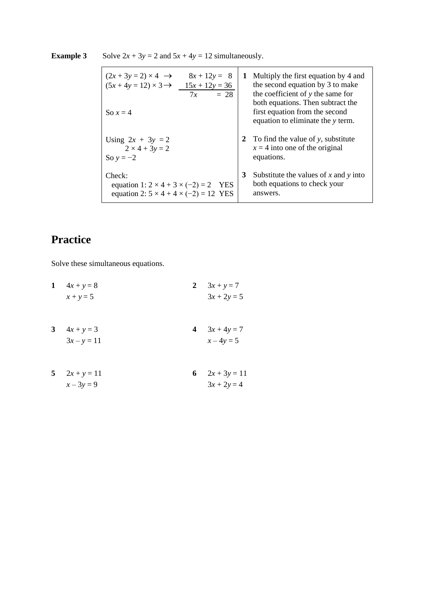| $(2x+3y=2)\times 4 \rightarrow$                                                                                 | Multiply the first equation by 4 and                                                   |
|-----------------------------------------------------------------------------------------------------------------|----------------------------------------------------------------------------------------|
| $8x + 12y = 8$                                                                                                  | 1                                                                                      |
| $(5x+4y=12)\times 3 \rightarrow$                                                                                | the second equation by 3 to make                                                       |
| $15x + 12y = 36$                                                                                                | the coefficient of y the same for                                                      |
| $= 28$                                                                                                          | both equations. Then subtract the                                                      |
| 7x                                                                                                              | first equation from the second                                                         |
| So $x=4$                                                                                                        | equation to eliminate the y term.                                                      |
| Using $2x + 3y = 2$                                                                                             | 2 To find the value of y, substitute                                                   |
| $2 \times 4 + 3y = 2$                                                                                           | $x = 4$ into one of the original                                                       |
| So $y = -2$                                                                                                     | equations.                                                                             |
| Check:<br>equation 1: $2 \times 4 + 3 \times (-2) = 2$ YES<br>equation 2: $5 \times 4 + 4 \times (-2) = 12$ YES | 3<br>Substitute the values of x and y into<br>both equations to check your<br>answers. |

### **Example 3** Solve  $2x + 3y = 2$  and  $5x + 4y = 12$  simultaneously.

# **Practice**

Solve these simultaneous equations.

| 1              | $4x + y = 8$                  | 2 | $3x + y = 7$                    |
|----------------|-------------------------------|---|---------------------------------|
|                | $x + y = 5$                   |   | $3x + 2y = 5$                   |
| 3 <sup>1</sup> | $4x + y = 3$<br>$3x - y = 11$ |   | 4 $3x + 4y = 7$<br>$x - 4y = 5$ |
|                |                               |   |                                 |
|                | 5 $2x + y = 11$               |   | 6 $2x + 3y = 11$                |
|                | $x - 3y = 9$                  |   | $3x + 2y = 4$                   |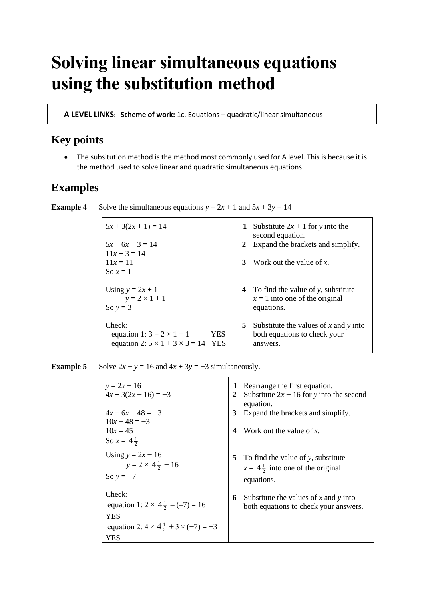# **Solving linear simultaneous equations using the substitution method**

**A LEVEL LINKS: Scheme of work:** 1c. Equations – quadratic/linear simultaneous

## **Key points**

• The subsitution method is the method most commonly used for A level. This is because it is the method used to solve linear and quadratic simultaneous equations.

### **Examples**

**Example 4** Solve the simultaneous equations  $y = 2x + 1$  and  $5x + 3y = 14$ 

| $5x + 3(2x + 1) = 14$                                                                        |     | 1 | Substitute $2x + 1$ for y into the<br>second equation.                            |
|----------------------------------------------------------------------------------------------|-----|---|-----------------------------------------------------------------------------------|
| $5x + 6x + 3 = 14$                                                                           |     | 2 | Expand the brackets and simplify.                                                 |
| $11x + 3 = 14$                                                                               |     |   |                                                                                   |
| $11x = 11$                                                                                   |     | 3 | Work out the value of $x$ .                                                       |
| So $x=1$                                                                                     |     |   |                                                                                   |
| Using $y = 2x + 1$<br>$y = 2 \times 1 + 1$                                                   |     |   | 4 To find the value of y, substitute<br>$x = 1$ into one of the original          |
| So $y = 3$                                                                                   |     |   | equations.                                                                        |
| Check:<br>equation 1: $3 = 2 \times 1 + 1$<br>equation 2: $5 \times 1 + 3 \times 3 = 14$ YES | YES | 5 | Substitute the values of x and y into<br>both equations to check your<br>answers. |

**Example 5** Solve  $2x - y = 16$  and  $4x + 3y = -3$  simultaneously.

| $y = 2x - 16$<br>$4x + 3(2x - 16) = -3$                  | 2 | Rearrange the first equation.<br>Substitute $2x - 16$ for y into the second |
|----------------------------------------------------------|---|-----------------------------------------------------------------------------|
|                                                          |   | equation.                                                                   |
| $4x + 6x - 48 = -3$                                      | 3 | Expand the brackets and simplify.                                           |
| $10x - 48 = -3$<br>$10x = 45$                            | 4 | Work out the value of $x$ .                                                 |
| So $x = 4\frac{1}{2}$                                    |   |                                                                             |
|                                                          |   |                                                                             |
| Using $y = 2x - 16$                                      |   | 5 To find the value of y, substitute                                        |
| $y = 2 \times 4\frac{1}{2} - 16$                         |   | $x = 4\frac{1}{2}$ into one of the original                                 |
| So $y = -7$                                              |   | equations.                                                                  |
| Check:                                                   | 6 | Substitute the values of x and y into                                       |
| equation 1: $2 \times 4\frac{1}{2} - (-7) = 16$          |   | both equations to check your answers.                                       |
| YES                                                      |   |                                                                             |
| equation 2: $4 \times 4\frac{1}{2} + 3 \times (-7) = -3$ |   |                                                                             |
| YES                                                      |   |                                                                             |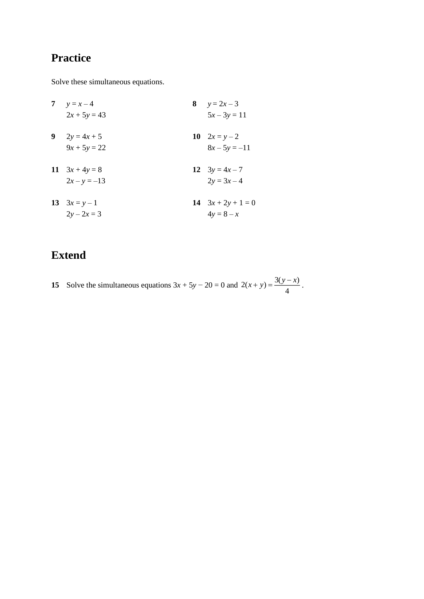Solve these simultaneous equations.

**7**  $y = x - 4$  **8**  $y = 2x - 3$  $2x + 5y = 43$   $5x - 3y = 11$ **9**  $2y = 4x + 5$  **10**  $2x = y - 2$  $9x + 5y = 22$   $8x - 5y = -11$ **11**  $3x + 4y = 8$  **12**  $3y = 4x - 7$  $2x - y = -13$   $2y = 3x - 4$ **13**  $3x = y - 1$  **14**  $3x + 2y + 1 = 0$  $2y - 2x = 3$   $4y = 8 - x$ 

# **Extend**

**15** Solve the simultaneous equations  $3x + 5y - 20 = 0$  and  $2(x + y) = \frac{3(y - x)}{4}$  $(x + y) = \frac{3(y - x)}{y}$ .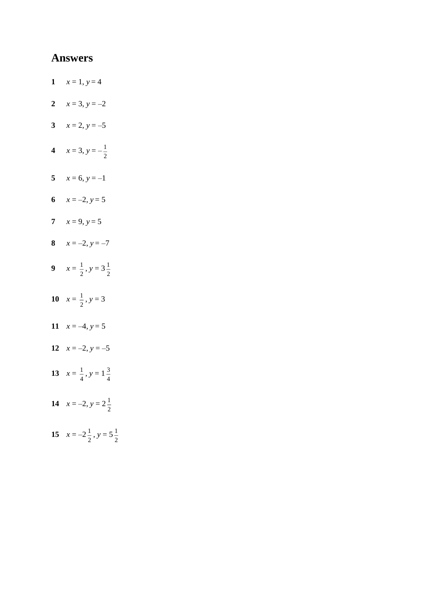- 1  $x = 1, y = 4$
- 2  $x = 3, y = -2$
- 3  $x = 2, y = -5$
- 4  $x = 3, y = -\frac{1}{2}$
- 5  $x = 6, y = -1$
- 6  $x = -2, y = 5$
- 7  $x = 9, y = 5$
- 8  $x = -2, y = -7$
- 9  $x = \frac{1}{2}$ ,  $y = 3\frac{1}{2}$
- 10  $x = \frac{1}{2}$ ,  $y = 3$
- 11  $x = -4, y = 5$
- 12  $x = -2, y = -5$
- 13  $x = \frac{1}{4}$ ,  $y = 1\frac{3}{4}$
- 14  $x = -2, y = 2\frac{1}{2}$
- 15  $x = -2\frac{1}{2}$ ,  $y = 5\frac{1}{2}$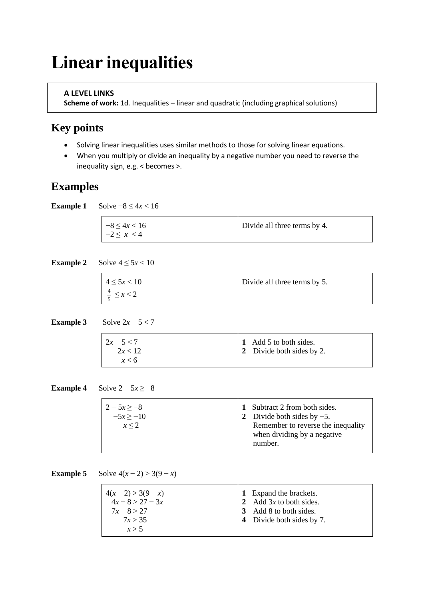# **Linear inequalities**

#### **A LEVEL LINKS**

**Scheme of work:** 1d. Inequalities – linear and quadratic (including graphical solutions)

### **Key points**

- Solving linear inequalities uses similar methods to those for solving linear equations.
- When you multiply or divide an inequality by a negative number you need to reverse the inequality sign, e.g. < becomes >.

### **Examples**

**Example 1** Solve  $-8 \le 4x < 16$ 

| $-8 \leq 4x < 16$ | Divide all three terms by 4. |
|-------------------|------------------------------|
| $-2 \leq x < 4$   |                              |

**Example 2** Solve  $4 \le 5x < 10$ 

| $4 \le 5x < 10$          | Divide all three terms by 5. |
|--------------------------|------------------------------|
| $\frac{4}{5} \leq x < 2$ |                              |

**Example 3** Solve  $2x - 5 < 7$ 

| $2x - 5 < 7$<br>2x < 12 | 1 Add 5 to both sides.<br>2 Divide both sides by 2. |
|-------------------------|-----------------------------------------------------|
| x < 6                   |                                                     |

**Example 4** Solve  $2 - 5x \ge -8$ 

**Example 5** Solve  $4(x - 2) > 3(9 - x)$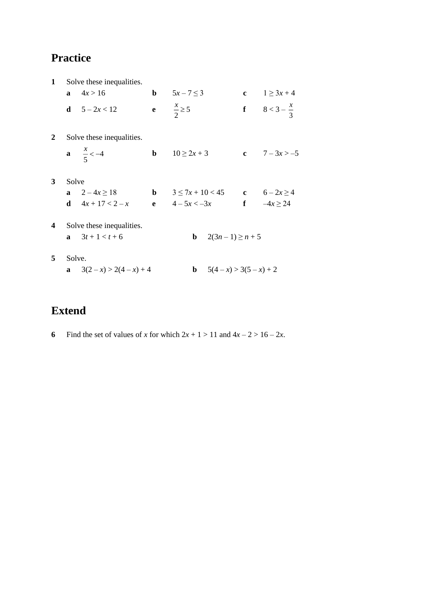| $\mathbf{1}$ |              | Solve these inequalities.   |                                                       |                                |
|--------------|--------------|-----------------------------|-------------------------------------------------------|--------------------------------|
|              | $\mathbf{a}$ | 4x > 16                     | <b>b</b> $5x - 7 \le 3$                               | <b>c</b> $1 \ge 3x + 4$        |
|              |              | <b>d</b> $5 - 2x < 12$      | e $\frac{x}{2} \ge 5$                                 | <b>f</b> $8 < 3 - \frac{x}{3}$ |
| <sup>2</sup> |              | Solve these inequalities.   |                                                       |                                |
|              |              | <b>a</b> $\frac{x}{5} < -4$ | <b>b</b> $10 \ge 2x + 3$                              | c $7 - 3x > -5$                |
| $\mathbf{3}$ | Solve        |                             |                                                       |                                |
|              |              | <b>a</b> $2-4x \ge 18$      | <b>b</b> $3 \le 7x + 10 < 45$ <b>c</b> $6 - 2x \ge 4$ |                                |
|              |              | <b>d</b> $4x + 17 < 2-x$    | <b>e</b> $4-5x < -3x$ <b>f</b> $-4x \ge 24$           |                                |
| 4            |              | Solve these inequalities.   |                                                       |                                |
|              |              | <b>a</b> $3t+1 < t+6$       | <b>b</b> $2(3n-1) \ge n+5$                            |                                |
| 5            |              | Solve.                      |                                                       |                                |
|              |              | a $3(2-x) > 2(4-x) + 4$     | <b>b</b> $5(4-x) > 3(5-x) + 2$                        |                                |

# **Extend**

**6** Find the set of values of *x* for which  $2x + 1 > 11$  and  $4x - 2 > 16 - 2x$ .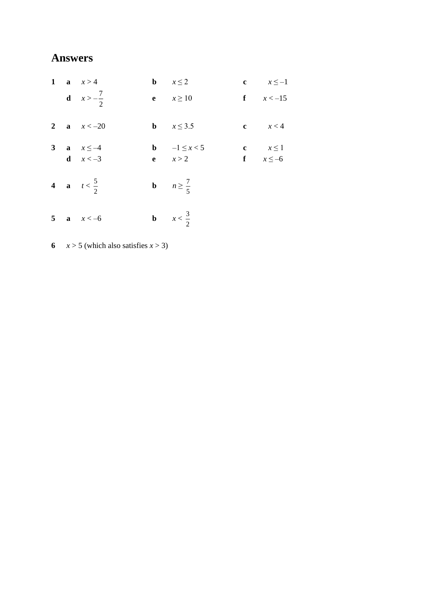|  | 1 a $x>4$                                  | <b>b</b> $x \leq 2$                         | c $x \leq -1$               |
|--|--------------------------------------------|---------------------------------------------|-----------------------------|
|  | <b>d</b> $x > -\frac{7}{2}$                | e $x \ge 10$                                | f $x < -15$                 |
|  | 2 <b>a</b> $x < -20$                       | <b>b</b> $x \leq 3.5$                       | c $x < 4$                   |
|  | 3 <b>a</b> $x \le -4$<br><b>d</b> $x < -3$ | <b>b</b> $-1 \le x < 5$<br><b>e</b> $x > 2$ | c $x \le 1$<br>f $x \le -6$ |
|  | 4 <b>a</b> $t < \frac{5}{2}$               | <b>b</b> $n \ge \frac{7}{5}$                |                             |
|  | 5 <b>a</b> $x < -6$                        | <b>b</b> $x < \frac{3}{2}$                  |                             |

**6**  $x > 5$  (which also satisfies  $x > 3$ )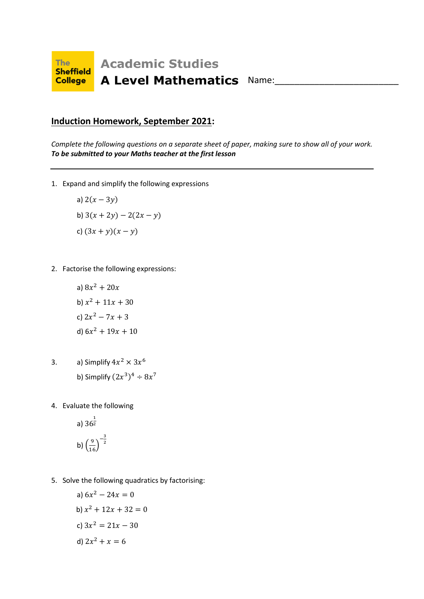

### **Induction Homework, September 2021:**

*Complete the following questions on a separate sheet of paper, making sure to show all of your work. To be submitted to your Maths teacher at the first lesson*

1. Expand and simplify the following expressions

a) 
$$
2(x - 3y)
$$
  
b)  $3(x + 2y) - 2(2x - y)$   
c)  $(3x + y)(x - y)$ 

2. Factorise the following expressions:

a) 
$$
8x^2 + 20x
$$
  
\nb)  $x^2 + 11x + 30$   
\nc)  $2x^2 - 7x + 3$   
\nd)  $6x^2 + 19x + 10$ 

- 3. a) Simplify  $4x^2 \times 3x^6$ b) Simplify  $(2x^3)^4 \div 8x^7$
- 4. Evaluate the following

a) 
$$
36^{\frac{1}{2}}
$$
  
b)  $\left(\frac{9}{16}\right)^{-\frac{3}{2}}$ 

5. Solve the following quadratics by factorising:

a) 
$$
6x^2 - 24x = 0
$$
  
\nb)  $x^2 + 12x + 32 = 0$   
\nc)  $3x^2 = 21x - 30$   
\nd)  $2x^2 + x = 6$